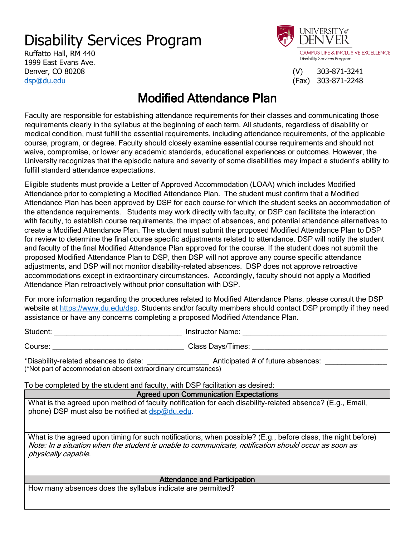## Disability Services Program

Ruffatto Hall, RM 440 1999 East Evans Ave. Denver, CO 80208 (V) 303-871-3241 [dsp@du.edu](mailto:dsp@du.edu) (Fax) 303-871-2248



## Modified Attendance Plan

Faculty are responsible for establishing attendance requirements for their classes and communicating those requirements clearly in the syllabus at the beginning of each term. All students, regardless of disability or medical condition, must fulfill the essential requirements, including attendance requirements, of the applicable course, program, or degree. Faculty should closely examine essential course requirements and should not waive, compromise, or lower any academic standards, educational experiences or outcomes. However, the University recognizes that the episodic nature and severity of some disabilities may impact a student's ability to fulfill standard attendance expectations.

Eligible students must provide a Letter of Approved Accommodation (LOAA) which includes Modified Attendance prior to completing a Modified Attendance Plan. The student must confirm that a Modified Attendance Plan has been approved by DSP for each course for which the student seeks an accommodation of the attendance requirements. Students may work directly with faculty, or DSP can facilitate the interaction with faculty, to establish course requirements, the impact of absences, and potential attendance alternatives to create a Modified Attendance Plan. The student must submit the proposed Modified Attendance Plan to DSP for review to determine the final course specific adjustments related to attendance. DSP will notify the student and faculty of the final Modified Attendance Plan approved for the course. If the student does not submit the proposed Modified Attendance Plan to DSP, then DSP will not approve any course specific attendance adjustments, and DSP will not monitor disability-related absences. DSP does not approve retroactive accommodations except in extraordinary circumstances. Accordingly, faculty should not apply a Modified Attendance Plan retroactively without prior consultation with DSP.

For more information regarding the procedures related to Modified Attendance Plans, please consult the DSP website at [https://www.du.edu/dsp.](https://www.du.edu/dsp) Students and/or faculty members should contact DSP promptly if they need assistance or have any concerns completing a proposed Modified Attendance Plan.

Student: \_\_\_\_\_\_\_\_\_\_\_\_\_\_\_\_\_\_\_\_\_\_\_\_\_\_\_\_\_\_\_ Instructor Name: \_\_\_\_\_\_\_\_\_\_\_\_\_\_\_\_\_\_\_\_\_\_\_\_\_\_\_\_\_\_\_\_\_\_\_

Course: \_\_\_\_\_\_\_\_\_\_\_\_\_\_\_\_\_\_\_\_\_\_\_\_\_\_\_\_\_\_\_\_ Class Days/Times: \_\_\_\_\_\_\_\_\_\_\_\_\_\_\_\_\_\_\_\_\_\_\_\_\_\_\_\_\_\_\_\_\_

\*Disability-related absences to date: \_\_\_\_\_\_\_\_\_\_\_\_\_\_\_ Anticipated # of future absences: \_\_\_\_\_\_\_\_\_\_\_\_\_\_\_ (\*Not part of accommodation absent extraordinary circumstances)

To be completed by the student and faculty, with DSP facilitation as desired:

## Agreed upon Communication Expectations What is the agreed upon method of faculty notification for each disability-related absence? (E.g., Email, phone) DSP must also be notified at [dsp@du.edu.](mailto:dsp@du.edu) What is the agreed upon timing for such notifications, when possible? (E.g., before class, the night before) Note: In a situation when the student is unable to communicate, notification should occur as soon as physically capable. Attendance and Participation

How many absences does the syllabus indicate are permitted?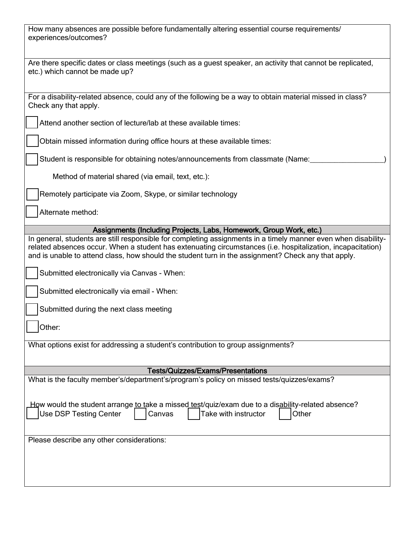| How many absences are possible before fundamentally altering essential course requirements/<br>experiences/outcomes?                                                                                                                                                                                                                 |  |  |  |
|--------------------------------------------------------------------------------------------------------------------------------------------------------------------------------------------------------------------------------------------------------------------------------------------------------------------------------------|--|--|--|
| Are there specific dates or class meetings (such as a guest speaker, an activity that cannot be replicated,<br>etc.) which cannot be made up?                                                                                                                                                                                        |  |  |  |
| For a disability-related absence, could any of the following be a way to obtain material missed in class?<br>Check any that apply.                                                                                                                                                                                                   |  |  |  |
| Attend another section of lecture/lab at these available times:                                                                                                                                                                                                                                                                      |  |  |  |
| Obtain missed information during office hours at these available times:                                                                                                                                                                                                                                                              |  |  |  |
| Student is responsible for obtaining notes/announcements from classmate (Name:                                                                                                                                                                                                                                                       |  |  |  |
| Method of material shared (via email, text, etc.):                                                                                                                                                                                                                                                                                   |  |  |  |
| Remotely participate via Zoom, Skype, or similar technology                                                                                                                                                                                                                                                                          |  |  |  |
| Alternate method:                                                                                                                                                                                                                                                                                                                    |  |  |  |
| Assignments (Including Projects, Labs, Homework, Group Work, etc.)                                                                                                                                                                                                                                                                   |  |  |  |
| In general, students are still responsible for completing assignments in a timely manner even when disability-<br>related absences occur. When a student has extenuating circumstances (i.e. hospitalization, incapacitation)<br>and is unable to attend class, how should the student turn in the assignment? Check any that apply. |  |  |  |
| Submitted electronically via Canvas - When:                                                                                                                                                                                                                                                                                          |  |  |  |
| Submitted electronically via email - When:                                                                                                                                                                                                                                                                                           |  |  |  |
| Submitted during the next class meeting                                                                                                                                                                                                                                                                                              |  |  |  |
| Other:                                                                                                                                                                                                                                                                                                                               |  |  |  |
| What options exist for addressing a student's contribution to group assignments?                                                                                                                                                                                                                                                     |  |  |  |
|                                                                                                                                                                                                                                                                                                                                      |  |  |  |
| <b>Tests/Quizzes/Exams/Presentations</b>                                                                                                                                                                                                                                                                                             |  |  |  |
| What is the faculty member's/department's/program's policy on missed tests/quizzes/exams?                                                                                                                                                                                                                                            |  |  |  |
|                                                                                                                                                                                                                                                                                                                                      |  |  |  |
| How would the student arrange <u>to t</u> ake a missed test/quiz/exam due to a dis <u>abil</u> ity-related absence?<br><b>Use DSP Testing Center</b><br>Take with instructor<br>Other<br>Canvas                                                                                                                                      |  |  |  |
| Please describe any other considerations:                                                                                                                                                                                                                                                                                            |  |  |  |
|                                                                                                                                                                                                                                                                                                                                      |  |  |  |
|                                                                                                                                                                                                                                                                                                                                      |  |  |  |
|                                                                                                                                                                                                                                                                                                                                      |  |  |  |